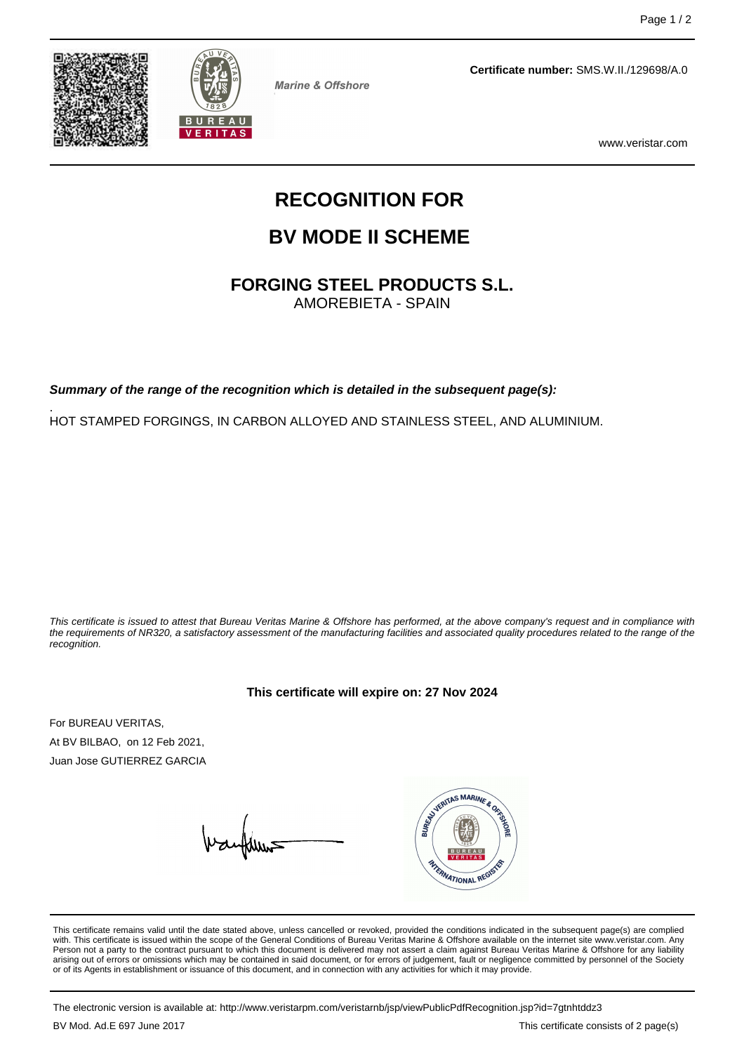



**Marine & Offshore** 

**Certificate number:** SMS.W.II./129698/A.0

www.veristar.com

# **RECOGNITION FOR**

## **BV MODE II SCHEME**

**FORGING STEEL PRODUCTS S.L.**

AMOREBIETA - SPAIN

**Summary of the range of the recognition which is detailed in the subsequent page(s):**

. HOT STAMPED FORGINGS, IN CARBON ALLOYED AND STAINLESS STEEL, AND ALUMINIUM.

This certificate is issued to attest that Bureau Veritas Marine & Offshore has performed, at the above company's request and in compliance with the requirements of NR320, a satisfactory assessment of the manufacturing facilities and associated quality procedures related to the range of the recognition.

#### **This certificate will expire on: 27 Nov 2024**

For BUREAU VERITAS, At BV BILBAO, on 12 Feb 2021, Juan Jose GUTIERREZ GARCIA



This certificate remains valid until the date stated above, unless cancelled or revoked, provided the conditions indicated in the subsequent page(s) are complied with. This certificate is issued within the scope of the General Conditions of Bureau Veritas Marine & Offshore available on the internet site www.veristar.com. Any Person not a party to the contract pursuant to which this document is delivered may not assert a claim against Bureau Veritas Marine & Offshore for any liability arising out of errors or omissions which may be contained in said document, or for errors of judgement, fault or negligence committed by personnel of the Society<br>or of its Agents in establishment or issuance of this docume